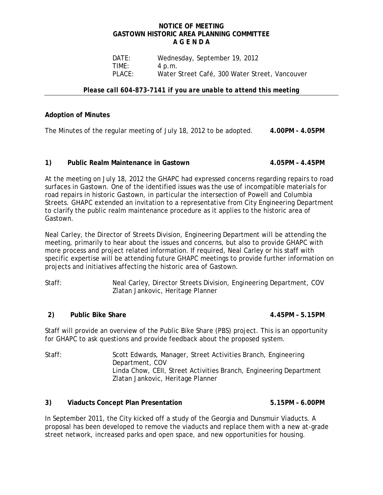### **NOTICE OF MEETING GASTOWN HISTORIC AREA PLANNING COMMITTEE A G E N D A**

DATE: Wednesday, September 19, 2012<br>TIME: 4 p.m. **TIME:** 4 p.m.<br>PLACE: Water! Water Street Café, 300 Water Street, Vancouver

### *Please call 604-873-7141 if you are unable to attend this meeting*

# **Adoption of Minutes**

The Minutes of the regular meeting of July 18, 2012 to be adopted. **4.00PM - 4.05PM**

### **1) Public Realm Maintenance in Gastown 4.05PM – 4.45PM**

At the meeting on July 18, 2012 the GHAPC had expressed concerns regarding repairs to road surfaces in Gastown. One of the identified issues was the use of incompatible materials for road repairs in historic Gastown, in particular the intersection of Powell and Columbia Streets. GHAPC extended an invitation to a representative from City Engineering Department to clarify the public realm maintenance procedure as it applies to the historic area of Gastown.

Neal Carley, the Director of Streets Division, Engineering Department will be attending the meeting, primarily to hear about the issues and concerns, but also to provide GHAPC with more process and project related information. If required, Neal Carley or his staff with specific expertise will be attending future GHAPC meetings to provide further information on projects and initiatives affecting the historic area of Gastown.

Staff: Neal Carley, Director Streets Division, Engineering Department, COV Zlatan Jankovic, Heritage Planner

## **2) Public Bike Share 4.45PM – 5.15PM**

Staff will provide an overview of the Public Bike Share (PBS) project. This is an opportunity for GHAPC to ask questions and provide feedback about the proposed system.

Staff: Scott Edwards, Manager, Street Activities Branch, Engineering Department, COV Linda Chow, CEII, Street Activities Branch, Engineering Department Zlatan Jankovic, Heritage Planner

## **3) Viaducts Concept Plan Presentation 5.15PM – 6.00PM**

In September 2011, the City kicked off a study of the Georgia and Dunsmuir Viaducts. A proposal has been developed to remove the viaducts and replace them with a new at-grade street network, increased parks and open space, and new opportunities for housing.